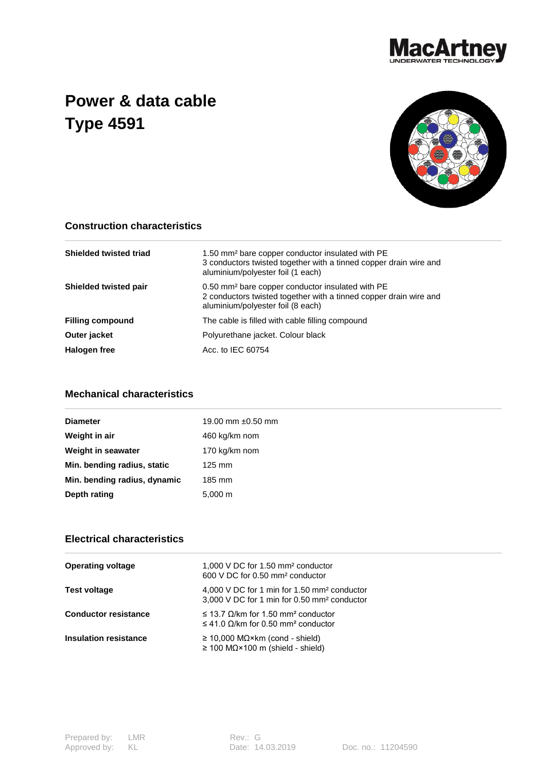

## **Power & data cable Type 4591**



## **Construction characteristics**

| <b>Shielded twisted triad</b> | 1.50 mm <sup>2</sup> bare copper conductor insulated with PE<br>3 conductors twisted together with a tinned copper drain wire and<br>aluminium/polyester foil (1 each) |
|-------------------------------|------------------------------------------------------------------------------------------------------------------------------------------------------------------------|
| <b>Shielded twisted pair</b>  | 0.50 mm <sup>2</sup> bare copper conductor insulated with PE<br>2 conductors twisted together with a tinned copper drain wire and<br>aluminium/polyester foil (8 each) |
| <b>Filling compound</b>       | The cable is filled with cable filling compound                                                                                                                        |
| Outer jacket                  | Polyurethane jacket. Colour black                                                                                                                                      |
| Halogen free                  | Acc. to IEC 60754                                                                                                                                                      |

## **Mechanical characteristics**

| <b>Diameter</b>              | 19.00 mm $\pm 0.50$ mm |
|------------------------------|------------------------|
| Weight in air                | 460 kg/km nom          |
| Weight in seawater           | 170 kg/km nom          |
| Min. bending radius, static  | $125 \text{ mm}$       |
| Min. bending radius, dynamic | 185 mm                 |
| Depth rating                 | $5,000 \; \text{m}$    |
|                              |                        |

## **Electrical characteristics**

| <b>Operating voltage</b>    | 1,000 V DC for 1.50 mm <sup>2</sup> conductor<br>600 V DC for 0.50 mm <sup>2</sup> conductor                               |
|-----------------------------|----------------------------------------------------------------------------------------------------------------------------|
| <b>Test voltage</b>         | 4,000 V DC for 1 min for 1.50 mm <sup>2</sup> conductor<br>3,000 V DC for 1 min for 0.50 mm <sup>2</sup> conductor         |
| <b>Conductor resistance</b> | $\leq$ 13.7 $\Omega$ /km for 1.50 mm <sup>2</sup> conductor<br>$\leq$ 41.0 $\Omega$ /km for 0.50 mm <sup>2</sup> conductor |
| Insulation resistance       | $\geq$ 10,000 MQ×km (cond - shield)<br>$\geq$ 100 M $\Omega$ ×100 m (shield - shield)                                      |